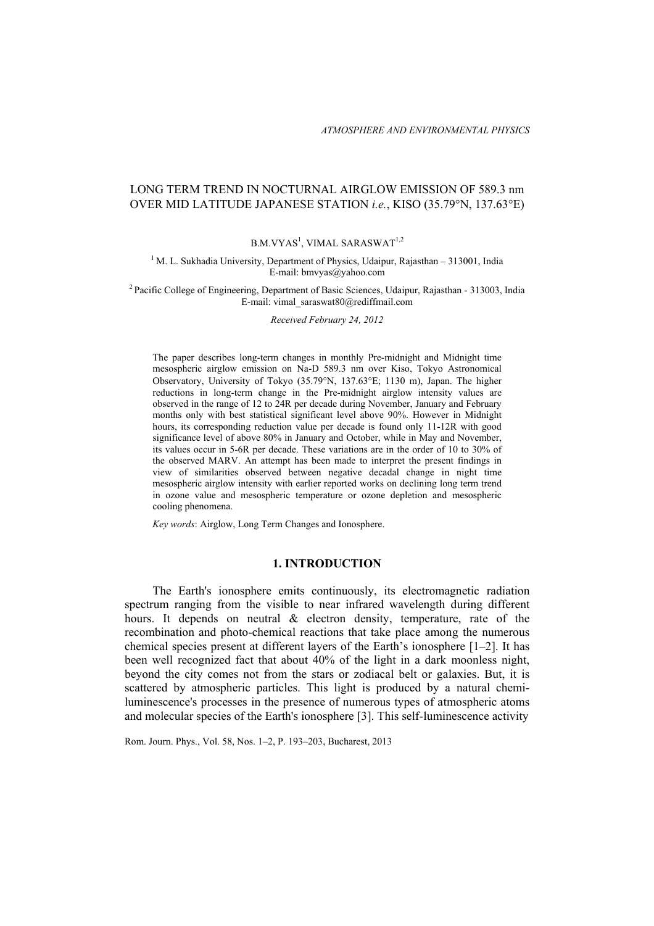# LONG TERM TREND IN NOCTURNAL AIRGLOW EMISSION OF 589.3 nm OVER MID LATITUDE JAPANESE STATION *i.e.*, KISO (35.79°N, 137.63°E)

## $\rm B.M.VYAS^{1},$  VIMAL SARASWAT $^{1,2}$

#### $1$  M. L. Sukhadia University, Department of Physics, Udaipur, Rajasthan – 313001, India E-mail: bmvyas@yahoo.com

2 Pacific College of Engineering, Department of Basic Sciences, Udaipur, Rajasthan - 313003, India E-mail: vimal\_saraswat80@rediffmail.com

*Received February 24, 2012* 

The paper describes long-term changes in monthly Pre-midnight and Midnight time mesospheric airglow emission on Na-D 589.3 nm over Kiso, Tokyo Astronomical Observatory, University of Tokyo (35.79°N, 137.63°E; 1130 m), Japan. The higher reductions in long-term change in the Pre-midnight airglow intensity values are observed in the range of 12 to 24R per decade during November, January and February months only with best statistical significant level above 90%. However in Midnight hours, its corresponding reduction value per decade is found only 11-12R with good significance level of above 80% in January and October, while in May and November, its values occur in 5-6R per decade. These variations are in the order of 10 to 30% of the observed MARV. An attempt has been made to interpret the present findings in view of similarities observed between negative decadal change in night time mesospheric airglow intensity with earlier reported works on declining long term trend in ozone value and mesospheric temperature or ozone depletion and mesospheric cooling phenomena.

*Key words*: Airglow, Long Term Changes and Ionosphere.

## **1. INTRODUCTION**

The Earth's ionosphere emits continuously, its electromagnetic radiation spectrum ranging from the visible to near infrared wavelength during different hours. It depends on neutral & electron density, temperature, rate of the recombination and photo-chemical reactions that take place among the numerous chemical species present at different layers of the Earth's ionosphere [1–2]. It has been well recognized fact that about 40% of the light in a dark moonless night, beyond the city comes not from the stars or zodiacal belt or galaxies. But, it is scattered by atmospheric particles. This light is produced by a natural chemiluminescence's processes in the presence of numerous types of atmospheric atoms and molecular species of the Earth's ionosphere [3]. This self-luminescence activity

Rom. Journ. Phys., Vol. 58, Nos. 1–2, P. 193–203, Bucharest, 2013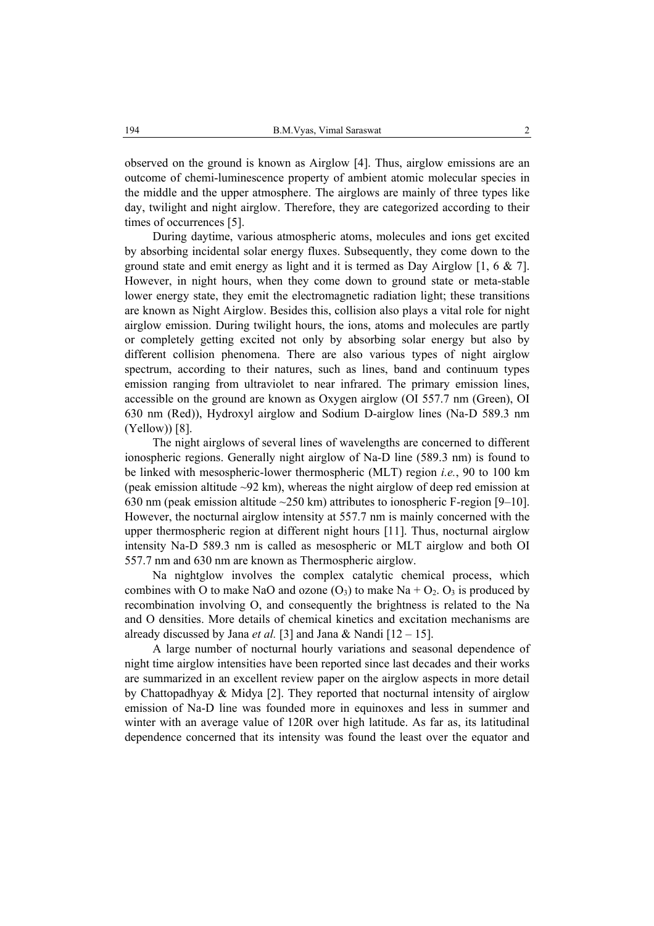observed on the ground is known as Airglow [4]. Thus, airglow emissions are an outcome of chemi-luminescence property of ambient atomic molecular species in the middle and the upper atmosphere. The airglows are mainly of three types like day, twilight and night airglow. Therefore, they are categorized according to their times of occurrences [5].

During daytime, various atmospheric atoms, molecules and ions get excited by absorbing incidental solar energy fluxes. Subsequently, they come down to the ground state and emit energy as light and it is termed as Day Airglow [1, 6 & 7]. However, in night hours, when they come down to ground state or meta-stable lower energy state, they emit the electromagnetic radiation light; these transitions are known as Night Airglow. Besides this, collision also plays a vital role for night airglow emission. During twilight hours, the ions, atoms and molecules are partly or completely getting excited not only by absorbing solar energy but also by different collision phenomena. There are also various types of night airglow spectrum, according to their natures, such as lines, band and continuum types emission ranging from ultraviolet to near infrared. The primary emission lines, accessible on the ground are known as Oxygen airglow (OI 557.7 nm (Green), OI 630 nm (Red)), Hydroxyl airglow and Sodium D-airglow lines (Na-D 589.3 nm (Yellow)) [8].

The night airglows of several lines of wavelengths are concerned to different ionospheric regions. Generally night airglow of Na-D line (589.3 nm) is found to be linked with mesospheric-lower thermospheric (MLT) region *i.e.*, 90 to 100 km (peak emission altitude ~92 km), whereas the night airglow of deep red emission at 630 nm (peak emission altitude  $\sim$  250 km) attributes to ionospheric F-region [9–10]. However, the nocturnal airglow intensity at 557.7 nm is mainly concerned with the upper thermospheric region at different night hours [11]. Thus, nocturnal airglow intensity Na-D 589.3 nm is called as mesospheric or MLT airglow and both OI 557.7 nm and 630 nm are known as Thermospheric airglow.

Na nightglow involves the complex catalytic chemical process, which combines with O to make NaO and ozone  $(O_3)$  to make Na +  $O_2$ .  $O_3$  is produced by recombination involving O, and consequently the brightness is related to the Na and O densities. More details of chemical kinetics and excitation mechanisms are already discussed by Jana *et al.* [3] and Jana & Nandi [12 – 15].

A large number of nocturnal hourly variations and seasonal dependence of night time airglow intensities have been reported since last decades and their works are summarized in an excellent review paper on the airglow aspects in more detail by Chattopadhyay & Midya [2]. They reported that nocturnal intensity of airglow emission of Na-D line was founded more in equinoxes and less in summer and winter with an average value of 120R over high latitude. As far as, its latitudinal dependence concerned that its intensity was found the least over the equator and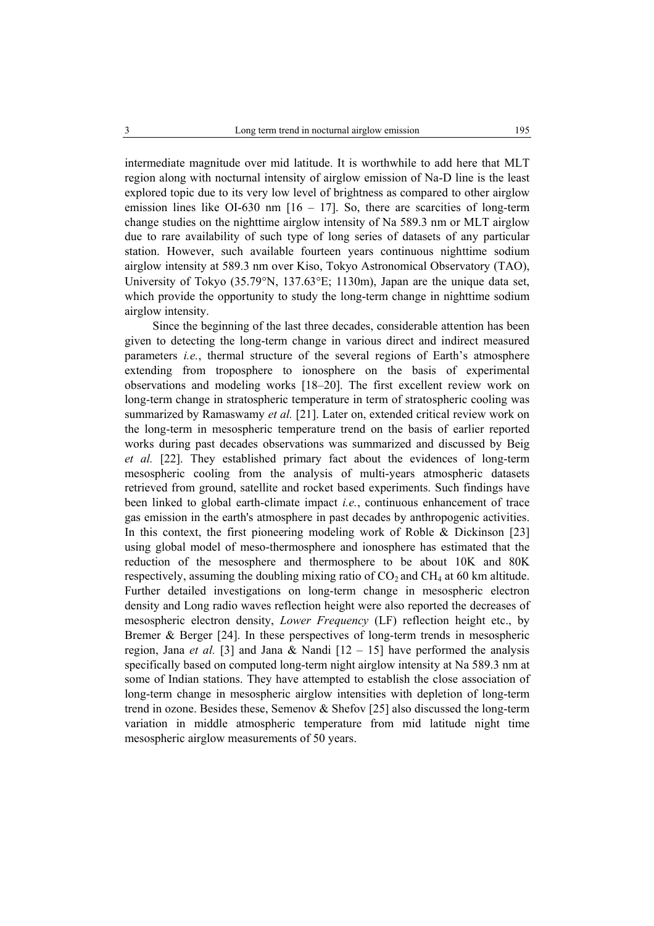intermediate magnitude over mid latitude. It is worthwhile to add here that MLT region along with nocturnal intensity of airglow emission of Na-D line is the least explored topic due to its very low level of brightness as compared to other airglow emission lines like OI-630 nm  $[16 - 17]$ . So, there are scarcities of long-term change studies on the nighttime airglow intensity of Na 589.3 nm or MLT airglow due to rare availability of such type of long series of datasets of any particular station. However, such available fourteen years continuous nighttime sodium airglow intensity at 589.3 nm over Kiso, Tokyo Astronomical Observatory (TAO), University of Tokyo (35.79°N, 137.63°E; 1130m), Japan are the unique data set, which provide the opportunity to study the long-term change in nighttime sodium airglow intensity.

Since the beginning of the last three decades, considerable attention has been given to detecting the long-term change in various direct and indirect measured parameters *i.e.*, thermal structure of the several regions of Earth's atmosphere extending from troposphere to ionosphere on the basis of experimental observations and modeling works [18–20]. The first excellent review work on long-term change in stratospheric temperature in term of stratospheric cooling was summarized by Ramaswamy *et al.* [21]. Later on, extended critical review work on the long-term in mesospheric temperature trend on the basis of earlier reported works during past decades observations was summarized and discussed by Beig *et al.* [22]. They established primary fact about the evidences of long-term mesospheric cooling from the analysis of multi-years atmospheric datasets retrieved from ground, satellite and rocket based experiments. Such findings have been linked to global earth-climate impact *i.e.*, continuous enhancement of trace gas emission in the earth's atmosphere in past decades by anthropogenic activities. In this context, the first pioneering modeling work of Roble & Dickinson [23] using global model of meso-thermosphere and ionosphere has estimated that the reduction of the mesosphere and thermosphere to be about 10K and 80K respectively, assuming the doubling mixing ratio of  $CO<sub>2</sub>$  and  $CH<sub>4</sub>$  at 60 km altitude. Further detailed investigations on long-term change in mesospheric electron density and Long radio waves reflection height were also reported the decreases of mesospheric electron density, *Lower Frequency* (LF) reflection height etc., by Bremer & Berger [24]. In these perspectives of long-term trends in mesospheric region, Jana *et al.* [3] and Jana & Nandi  $[12 - 15]$  have performed the analysis specifically based on computed long-term night airglow intensity at Na 589.3 nm at some of Indian stations. They have attempted to establish the close association of long-term change in mesospheric airglow intensities with depletion of long-term trend in ozone. Besides these, Semenov & Shefov [25] also discussed the long-term variation in middle atmospheric temperature from mid latitude night time mesospheric airglow measurements of 50 years.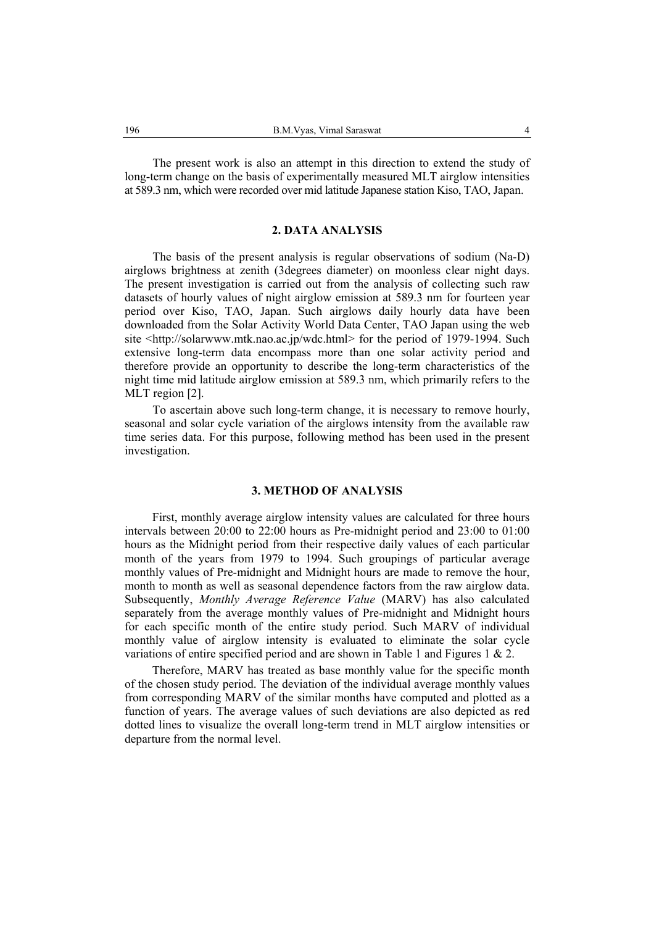The present work is also an attempt in this direction to extend the study of long-term change on the basis of experimentally measured MLT airglow intensities at 589.3 nm, which were recorded over mid latitude Japanese station Kiso, TAO, Japan.

## **2. DATA ANALYSIS**

The basis of the present analysis is regular observations of sodium (Na-D) airglows brightness at zenith (3degrees diameter) on moonless clear night days. The present investigation is carried out from the analysis of collecting such raw datasets of hourly values of night airglow emission at 589.3 nm for fourteen year period over Kiso, TAO, Japan. Such airglows daily hourly data have been downloaded from the Solar Activity World Data Center, TAO Japan using the web site <http://solarwww.mtk.nao.ac.jp/wdc.html> for the period of 1979-1994. Such extensive long-term data encompass more than one solar activity period and therefore provide an opportunity to describe the long-term characteristics of the night time mid latitude airglow emission at 589.3 nm, which primarily refers to the MLT region [2].

To ascertain above such long-term change, it is necessary to remove hourly, seasonal and solar cycle variation of the airglows intensity from the available raw time series data. For this purpose, following method has been used in the present investigation.

## **3. METHOD OF ANALYSIS**

First, monthly average airglow intensity values are calculated for three hours intervals between 20:00 to 22:00 hours as Pre-midnight period and 23:00 to 01:00 hours as the Midnight period from their respective daily values of each particular month of the years from 1979 to 1994. Such groupings of particular average monthly values of Pre-midnight and Midnight hours are made to remove the hour, month to month as well as seasonal dependence factors from the raw airglow data. Subsequently, *Monthly Average Reference Value* (MARV) has also calculated separately from the average monthly values of Pre-midnight and Midnight hours for each specific month of the entire study period. Such MARV of individual monthly value of airglow intensity is evaluated to eliminate the solar cycle variations of entire specified period and are shown in Table 1 and Figures 1 & 2.

Therefore, MARV has treated as base monthly value for the specific month of the chosen study period. The deviation of the individual average monthly values from corresponding MARV of the similar months have computed and plotted as a function of years. The average values of such deviations are also depicted as red dotted lines to visualize the overall long-term trend in MLT airglow intensities or departure from the normal level.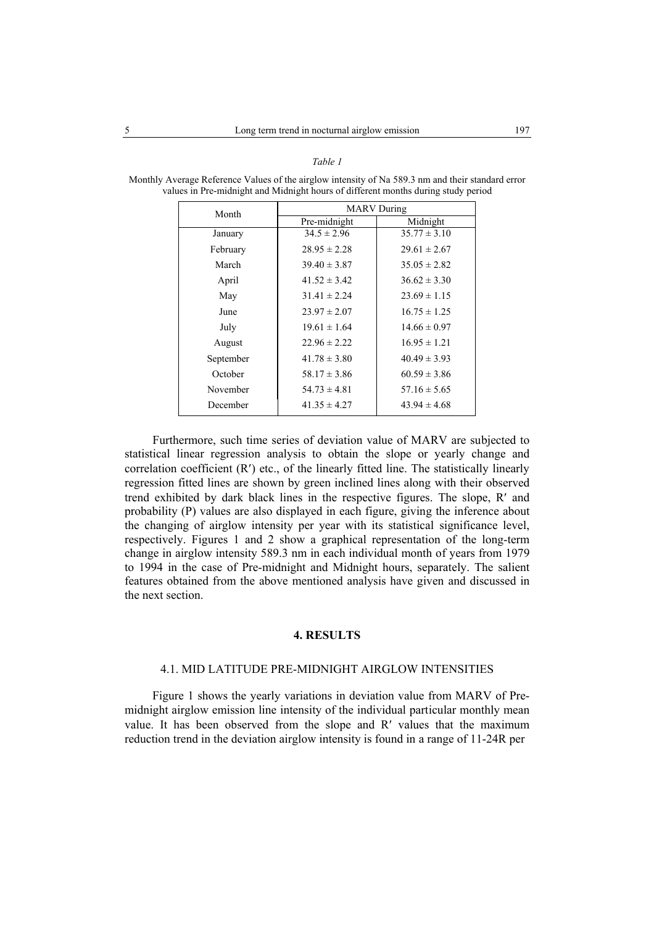#### *Table 1*

| Month     | <b>MARV</b> During |                  |
|-----------|--------------------|------------------|
|           | Pre-midnight       | Midnight         |
| January   | $34.5 \pm 2.96$    | $35.77 \pm 3.10$ |
| February  | $28.95 \pm 2.28$   | $29.61 \pm 2.67$ |
| March     | $39.40 \pm 3.87$   | $35.05 \pm 2.82$ |
| April     | $41.52 \pm 3.42$   | $36.62 \pm 3.30$ |
| May       | $31.41 \pm 2.24$   | $23.69 \pm 1.15$ |
| June      | $23.97 \pm 2.07$   | $16.75 \pm 1.25$ |
| July      | $19.61 \pm 1.64$   | $14.66 \pm 0.97$ |
| August    | $22.96 \pm 2.22$   | $16.95 \pm 1.21$ |
| September | $41.78 \pm 3.80$   | $40.49 \pm 3.93$ |
| October   | $58.17 \pm 3.86$   | $60.59 \pm 3.86$ |
| November  | $54.73 \pm 4.81$   | $57.16 \pm 5.65$ |
| December  | $41.35 \pm 4.27$   | $43.94 \pm 4.68$ |

Monthly Average Reference Values of the airglow intensity of Na 589.3 nm and their standard error values in Pre-midnight and Midnight hours of different months during study period

Furthermore, such time series of deviation value of MARV are subjected to statistical linear regression analysis to obtain the slope or yearly change and correlation coefficient (R′) etc., of the linearly fitted line. The statistically linearly regression fitted lines are shown by green inclined lines along with their observed trend exhibited by dark black lines in the respective figures. The slope, R′ and probability (P) values are also displayed in each figure, giving the inference about the changing of airglow intensity per year with its statistical significance level, respectively. Figures 1 and 2 show a graphical representation of the long-term change in airglow intensity 589.3 nm in each individual month of years from 1979 to 1994 in the case of Pre-midnight and Midnight hours, separately. The salient features obtained from the above mentioned analysis have given and discussed in the next section.

## **4. RESULTS**

## 4.1. MID LATITUDE PRE-MIDNIGHT AIRGLOW INTENSITIES

Figure 1 shows the yearly variations in deviation value from MARV of Premidnight airglow emission line intensity of the individual particular monthly mean value. It has been observed from the slope and R′ values that the maximum reduction trend in the deviation airglow intensity is found in a range of 11-24R per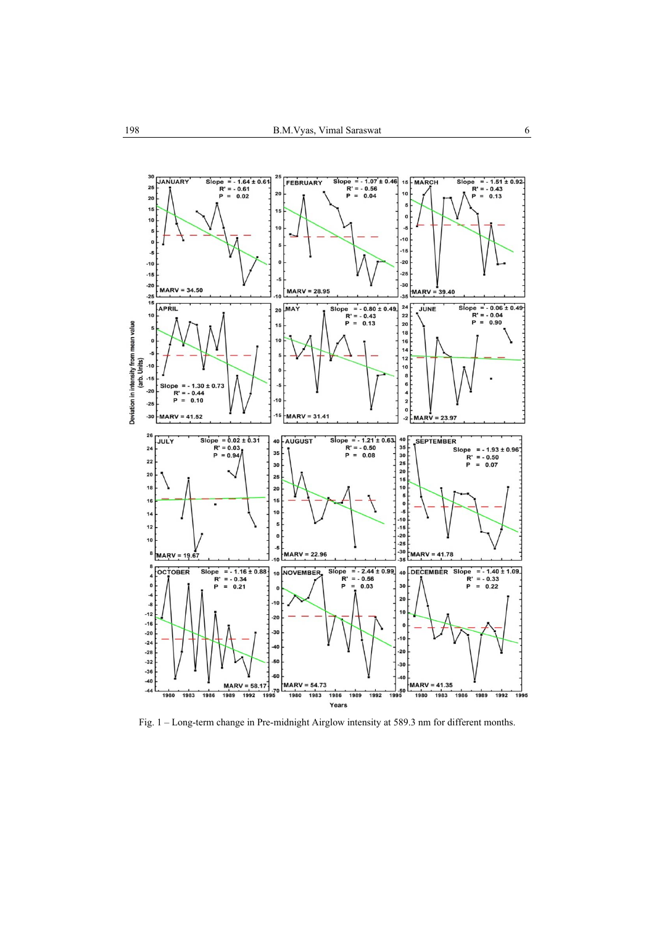

Fig. 1 – Long-term change in Pre-midnight Airglow intensity at 589.3 nm for different months.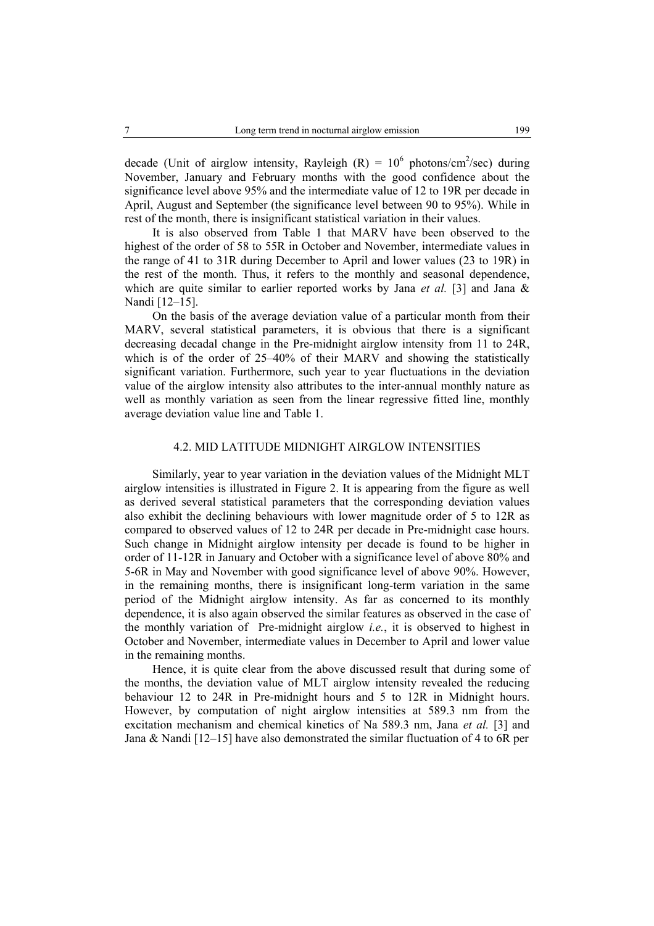decade (Unit of airglow intensity, Rayleigh  $(R) = 10^6$  photons/cm<sup>2</sup>/sec) during November, January and February months with the good confidence about the significance level above 95% and the intermediate value of 12 to 19R per decade in April, August and September (the significance level between 90 to 95%). While in rest of the month, there is insignificant statistical variation in their values.

It is also observed from Table 1 that MARV have been observed to the highest of the order of 58 to 55R in October and November, intermediate values in the range of 41 to 31R during December to April and lower values (23 to 19R) in the rest of the month. Thus, it refers to the monthly and seasonal dependence, which are quite similar to earlier reported works by Jana *et al.* [3] and Jana & Nandi [12–15].

On the basis of the average deviation value of a particular month from their MARV, several statistical parameters, it is obvious that there is a significant decreasing decadal change in the Pre-midnight airglow intensity from 11 to 24R, which is of the order of 25–40% of their MARV and showing the statistically significant variation. Furthermore, such year to year fluctuations in the deviation value of the airglow intensity also attributes to the inter-annual monthly nature as well as monthly variation as seen from the linear regressive fitted line, monthly average deviation value line and Table 1.

## 4.2. MID LATITUDE MIDNIGHT AIRGLOW INTENSITIES

Similarly, year to year variation in the deviation values of the Midnight MLT airglow intensities is illustrated in Figure 2. It is appearing from the figure as well as derived several statistical parameters that the corresponding deviation values also exhibit the declining behaviours with lower magnitude order of 5 to 12R as compared to observed values of 12 to 24R per decade in Pre-midnight case hours. Such change in Midnight airglow intensity per decade is found to be higher in order of 11-12R in January and October with a significance level of above 80% and 5-6R in May and November with good significance level of above 90%. However, in the remaining months, there is insignificant long-term variation in the same period of the Midnight airglow intensity. As far as concerned to its monthly dependence, it is also again observed the similar features as observed in the case of the monthly variation of Pre-midnight airglow *i.e.*, it is observed to highest in October and November, intermediate values in December to April and lower value in the remaining months.

Hence, it is quite clear from the above discussed result that during some of the months, the deviation value of MLT airglow intensity revealed the reducing behaviour 12 to 24R in Pre-midnight hours and 5 to 12R in Midnight hours. However, by computation of night airglow intensities at 589.3 nm from the excitation mechanism and chemical kinetics of Na 589.3 nm, Jana *et al.* [3] and Jana & Nandi [12–15] have also demonstrated the similar fluctuation of 4 to 6R per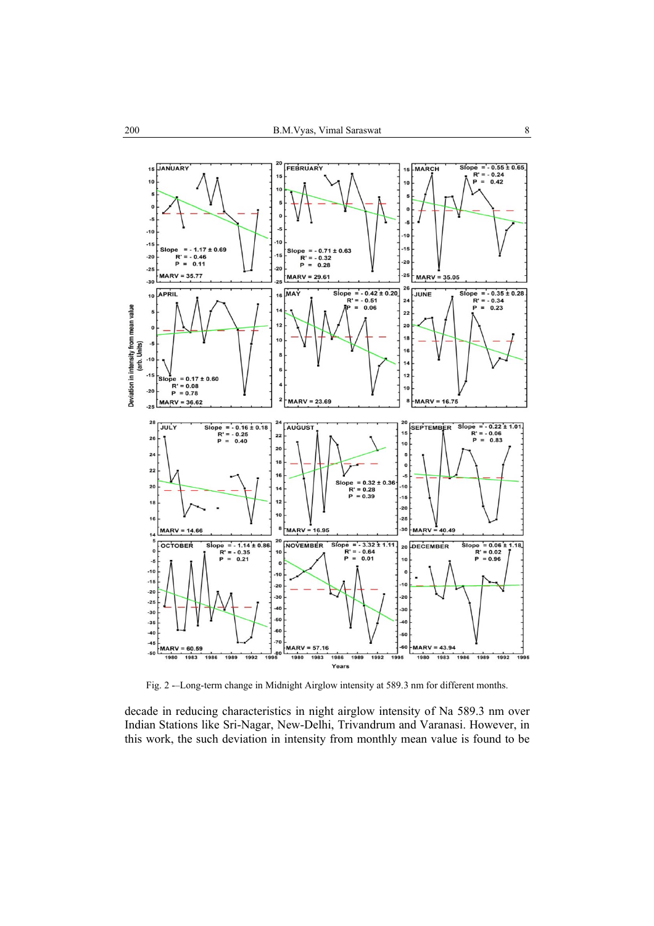

Fig. 2 -–Long-term change in Midnight Airglow intensity at 589.3 nm for different months.

decade in reducing characteristics in night airglow intensity of Na 589.3 nm over Indian Stations like Sri-Nagar, New-Delhi, Trivandrum and Varanasi. However, in this work, the such deviation in intensity from monthly mean value is found to be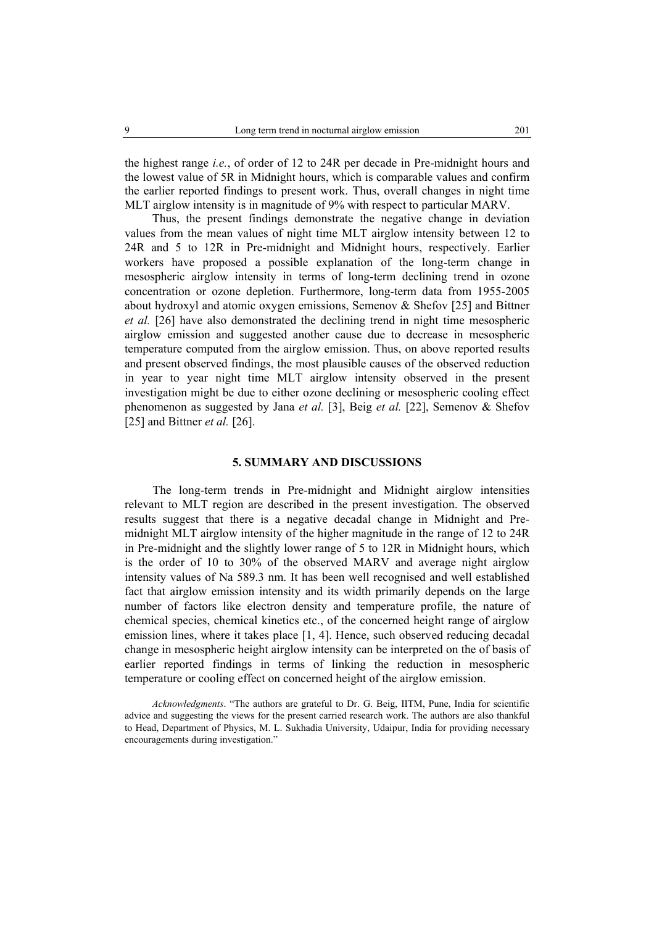the highest range *i.e.*, of order of 12 to 24R per decade in Pre-midnight hours and the lowest value of 5R in Midnight hours, which is comparable values and confirm the earlier reported findings to present work. Thus, overall changes in night time MLT airglow intensity is in magnitude of 9% with respect to particular MARV.

Thus, the present findings demonstrate the negative change in deviation values from the mean values of night time MLT airglow intensity between 12 to 24R and 5 to 12R in Pre-midnight and Midnight hours, respectively. Earlier workers have proposed a possible explanation of the long-term change in mesospheric airglow intensity in terms of long-term declining trend in ozone concentration or ozone depletion. Furthermore, long-term data from 1955-2005 about hydroxyl and atomic oxygen emissions, Semenov & Shefov [25] and Bittner *et al.* [26] have also demonstrated the declining trend in night time mesospheric airglow emission and suggested another cause due to decrease in mesospheric temperature computed from the airglow emission. Thus, on above reported results and present observed findings, the most plausible causes of the observed reduction in year to year night time MLT airglow intensity observed in the present investigation might be due to either ozone declining or mesospheric cooling effect phenomenon as suggested by Jana *et al.* [3], Beig *et al.* [22], Semenov & Shefov [25] and Bittner *et al.* [26].

## **5. SUMMARY AND DISCUSSIONS**

The long-term trends in Pre-midnight and Midnight airglow intensities relevant to MLT region are described in the present investigation. The observed results suggest that there is a negative decadal change in Midnight and Premidnight MLT airglow intensity of the higher magnitude in the range of 12 to 24R in Pre-midnight and the slightly lower range of 5 to 12R in Midnight hours, which is the order of 10 to 30% of the observed MARV and average night airglow intensity values of Na 589.3 nm. It has been well recognised and well established fact that airglow emission intensity and its width primarily depends on the large number of factors like electron density and temperature profile, the nature of chemical species, chemical kinetics etc., of the concerned height range of airglow emission lines, where it takes place [1, 4]. Hence, such observed reducing decadal change in mesospheric height airglow intensity can be interpreted on the of basis of earlier reported findings in terms of linking the reduction in mesospheric temperature or cooling effect on concerned height of the airglow emission.

*Acknowledgments*. "The authors are grateful to Dr. G. Beig, IITM, Pune, India for scientific advice and suggesting the views for the present carried research work. The authors are also thankful to Head, Department of Physics, M. L. Sukhadia University, Udaipur, India for providing necessary encouragements during investigation."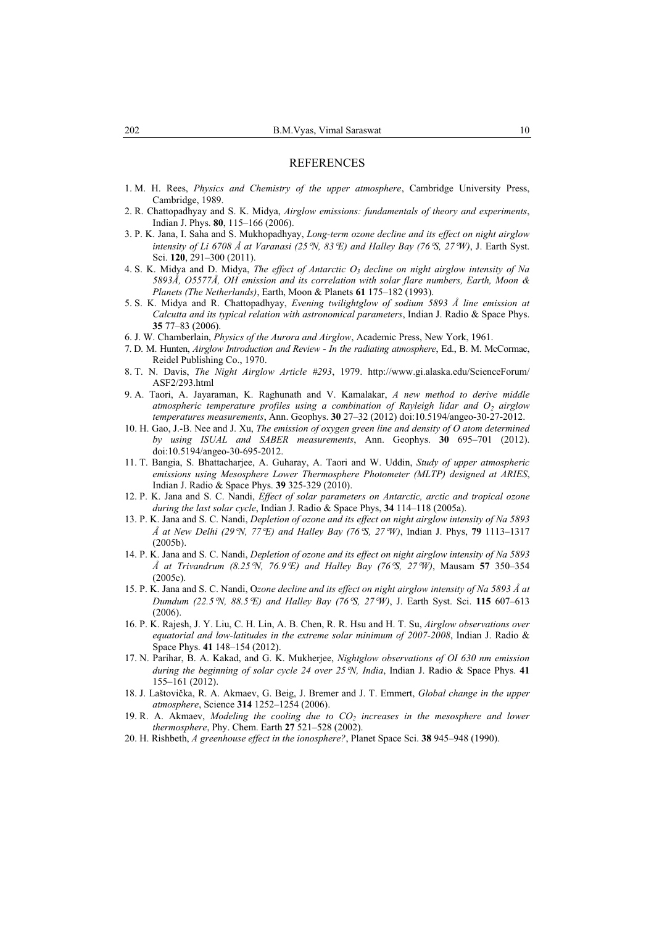## REFERENCES

- 1. M. H. Rees, *Physics and Chemistry of the upper atmosphere*, Cambridge University Press, Cambridge, 1989.
- 2. R. Chattopadhyay and S. K. Midya, *Airglow emissions: fundamentals of theory and experiments*, Indian J. Phys. **80**, 115–166 (2006).
- 3. P. K. Jana, I. Saha and S. Mukhopadhyay, *Long-term ozone decline and its effect on night airglow intensity of Li 6708 Å at Varanasi (25*°*N, 83*°*E) and Halley Bay (76*°*S, 27*°*W)*, J. Earth Syst. Sci. **120**, 291–300 (2011).
- 4. S. K. Midya and D. Midya, *The effect of Antarctic*  $O_3$  *decline on night airglow intensity of Na 5893Å, O5577Å, OH emission and its correlation with solar flare numbers, Earth, Moon & Planets (The Netherlands)*, Earth, Moon & Planets **61** 175–182 (1993).
- 5. S. K. Midya and R. Chattopadhyay, *Evening twilightglow of sodium 5893 Å line emission at Calcutta and its typical relation with astronomical parameters*, Indian J. Radio & Space Phys. **35** 77–83 (2006).
- 6. J. W. Chamberlain, *Physics of the Aurora and Airglow*, Academic Press, New York, 1961.
- 7. D. M. Hunten, *Airglow Introduction and Review In the radiating atmosphere*, Ed., B. M. McCormac, Reidel Publishing Co., 1970.
- 8. T. N. Davis, *The Night Airglow Article #293*, 1979. http://www.gi.alaska.edu/ScienceForum/ ASF2/293.html
- 9. A. Taori, A. Jayaraman, K. Raghunath and V. Kamalakar, *A new method to derive middle*  atmospheric temperature profiles using a combination of Rayleigh lidar and O<sub>2</sub> airglow *temperatures measurements*, Ann. Geophys. **30** 27–32 (2012) doi:10.5194/angeo-30-27-2012.
- 10. H. Gao, J.-B. Nee and J. Xu, *The emission of oxygen green line and density of O atom determined by using ISUAL and SABER measurements*, Ann. Geophys. **30** 695–701 (2012). doi:10.5194/angeo-30-695-2012.
- 11. T. Bangia, S. Bhattacharjee, A. Guharay, A. Taori and W. Uddin, *Study of upper atmospheric emissions using Mesosphere Lower Thermosphere Photometer (MLTP) designed at ARIES*, Indian J. Radio & Space Phys. **39** 325-329 (2010).
- 12. P. K. Jana and S. C. Nandi, *Effect of solar parameters on Antarctic, arctic and tropical ozone during the last solar cycle*, Indian J. Radio & Space Phys, **34** 114–118 (2005a).
- 13. P. K. Jana and S. C. Nandi, *Depletion of ozone and its effect on night airglow intensity of Na 5893 Å at New Delhi (29*°*N, 77*°*E) and Halley Bay (76*°*S, 27*°*W)*, Indian J. Phys, **79** 1113–1317 (2005b).
- 14. P. K. Jana and S. C. Nandi, *Depletion of ozone and its effect on night airglow intensity of Na 5893 Å at Trivandrum (8.25*°*N, 76.9*°*E) and Halley Bay (76*°*S, 27*°*W)*, Mausam **57** 350–354  $(2005c)$
- 15. P. K. Jana and S. C. Nandi, O*zone decline and its effect on night airglow intensity of Na 5893 Å at Dumdum (22.5*°*N, 88.5*°*E) and Halley Bay (76*°*S, 27*°*W)*, J. Earth Syst. Sci. **115** 607–613 (2006).
- 16. P. K. Rajesh, J. Y. Liu, C. H. Lin, A. B. Chen, R. R. Hsu and H. T. Su, *Airglow observations over equatorial and low-latitudes in the extreme solar minimum of 2007-2008*, Indian J. Radio & Space Phys. **41** 148–154 (2012).
- 17. N. Parihar, B. A. Kakad, and G. K. Mukherjee, *Nightglow observations of OI 630 nm emission during the beginning of solar cycle 24 over 25*°*N, India*, Indian J. Radio & Space Phys. **41** 155–161 (2012).
- 18. J. Laštovička, R. A. Akmaev, G. Beig, J. Bremer and J. T. Emmert, *Global change in the upper atmosphere*, Science **314** 1252–1254 (2006).
- 19. R. A. Akmaev, *Modeling the cooling due to CO<sub>2</sub> increases in the mesosphere and lower thermosphere*, Phy. Chem. Earth **27** 521–528 (2002).
- 20. H. Rishbeth, *A greenhouse effect in the ionosphere?*, Planet Space Sci. **38** 945–948 (1990).